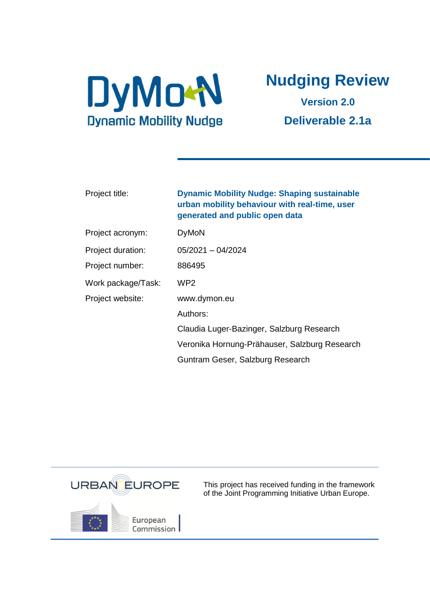

# **Nudging Review**

**Version 2.0 Deliverable 2.1a**

| Project title:     | <b>Dynamic Mobility Nudge: Shaping sustainable</b><br>urban mobility behaviour with real-time, user<br>generated and public open data |
|--------------------|---------------------------------------------------------------------------------------------------------------------------------------|
| Project acronym:   | <b>DyMoN</b>                                                                                                                          |
| Project duration:  | $05/2021 - 04/2024$                                                                                                                   |
| Project number:    | 886495                                                                                                                                |
| Work package/Task: | WP <sub>2</sub>                                                                                                                       |
| Project website:   | www.dymon.eu                                                                                                                          |
|                    | Authors:                                                                                                                              |
|                    | Claudia Luger-Bazinger, Salzburg Research                                                                                             |
|                    | Veronika Hornung-Prähauser, Salzburg Research                                                                                         |
|                    | Guntram Geser, Salzburg Research                                                                                                      |



This project has received funding in the framework of the Joint Programming Initiative Urban Europe.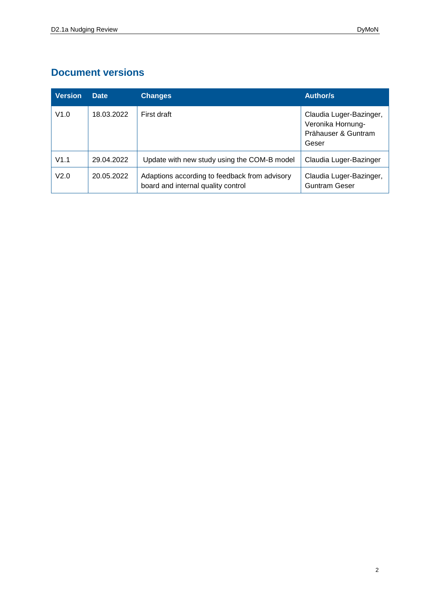## **Document versions**

| <b>Version</b> | <b>Date</b> | <b>Changes</b>                                                                      | <b>Author/s</b>                                                              |
|----------------|-------------|-------------------------------------------------------------------------------------|------------------------------------------------------------------------------|
| V1.0           | 18.03.2022  | First draft                                                                         | Claudia Luger-Bazinger,<br>Veronika Hornung-<br>Prähauser & Guntram<br>Geser |
| V1.1           | 29.04.2022  | Update with new study using the COM-B model                                         | Claudia Luger-Bazinger                                                       |
| V2.0           | 20.05.2022  | Adaptions according to feedback from advisory<br>board and internal quality control | Claudia Luger-Bazinger,<br><b>Guntram Geser</b>                              |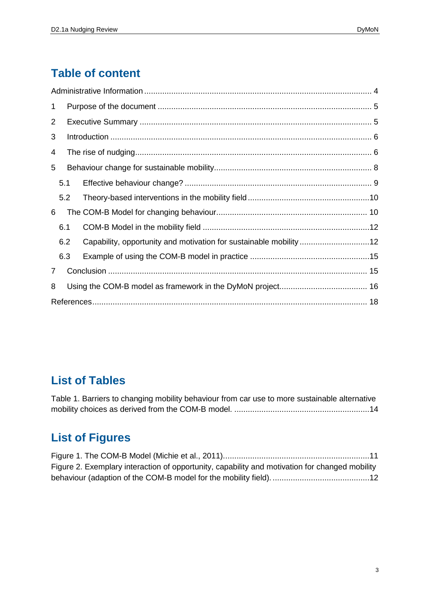# **Table of content**

| 1 |     |  |                                                                    |  |
|---|-----|--|--------------------------------------------------------------------|--|
| 2 |     |  |                                                                    |  |
| 3 |     |  |                                                                    |  |
| 4 |     |  |                                                                    |  |
| 5 |     |  |                                                                    |  |
|   | 5.1 |  |                                                                    |  |
|   | 5.2 |  |                                                                    |  |
| 6 |     |  |                                                                    |  |
|   | 6.1 |  |                                                                    |  |
|   | 6.2 |  | Capability, opportunity and motivation for sustainable mobility 12 |  |
|   | 6.3 |  |                                                                    |  |
| 7 |     |  |                                                                    |  |
| 8 |     |  |                                                                    |  |
|   |     |  |                                                                    |  |

# **List of Tables**

[Table 1. Barriers to changing mobility behaviour from car use to more sustainable alternative](#page-13-0)  [mobility choices as derived from the COM-B model.](#page-13-0) ............................................................14

# **List of Figures**

| Figure 2. Exemplary interaction of opportunity, capability and motivation for changed mobility |  |
|------------------------------------------------------------------------------------------------|--|
|                                                                                                |  |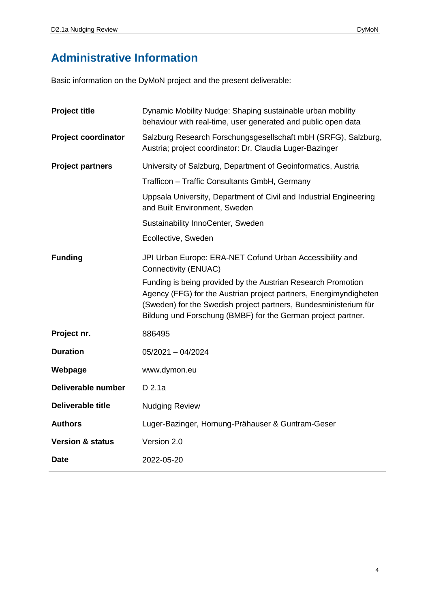# **Administrative Information**

Basic information on the DyMoN project and the present deliverable:

| <b>Project title</b>        | Dynamic Mobility Nudge: Shaping sustainable urban mobility<br>behaviour with real-time, user generated and public open data                                                                                                                                           |
|-----------------------------|-----------------------------------------------------------------------------------------------------------------------------------------------------------------------------------------------------------------------------------------------------------------------|
| <b>Project coordinator</b>  | Salzburg Research Forschungsgesellschaft mbH (SRFG), Salzburg,<br>Austria; project coordinator: Dr. Claudia Luger-Bazinger                                                                                                                                            |
| <b>Project partners</b>     | University of Salzburg, Department of Geoinformatics, Austria                                                                                                                                                                                                         |
|                             | Trafficon - Traffic Consultants GmbH, Germany                                                                                                                                                                                                                         |
|                             | Uppsala University, Department of Civil and Industrial Engineering<br>and Built Environment, Sweden                                                                                                                                                                   |
|                             | Sustainability InnoCenter, Sweden                                                                                                                                                                                                                                     |
|                             | Ecollective, Sweden                                                                                                                                                                                                                                                   |
| <b>Funding</b>              | JPI Urban Europe: ERA-NET Cofund Urban Accessibility and<br>Connectivity (ENUAC)                                                                                                                                                                                      |
|                             | Funding is being provided by the Austrian Research Promotion<br>Agency (FFG) for the Austrian project partners, Energimyndigheten<br>(Sweden) for the Swedish project partners, Bundesministerium für<br>Bildung und Forschung (BMBF) for the German project partner. |
| Project nr.                 | 886495                                                                                                                                                                                                                                                                |
| <b>Duration</b>             | $05/2021 - 04/2024$                                                                                                                                                                                                                                                   |
| Webpage                     | www.dymon.eu                                                                                                                                                                                                                                                          |
| Deliverable number          | D 2.1a                                                                                                                                                                                                                                                                |
| <b>Deliverable title</b>    | <b>Nudging Review</b>                                                                                                                                                                                                                                                 |
| <b>Authors</b>              | Luger-Bazinger, Hornung-Prähauser & Guntram-Geser                                                                                                                                                                                                                     |
| <b>Version &amp; status</b> | Version 2.0                                                                                                                                                                                                                                                           |
| <b>Date</b>                 | 2022-05-20                                                                                                                                                                                                                                                            |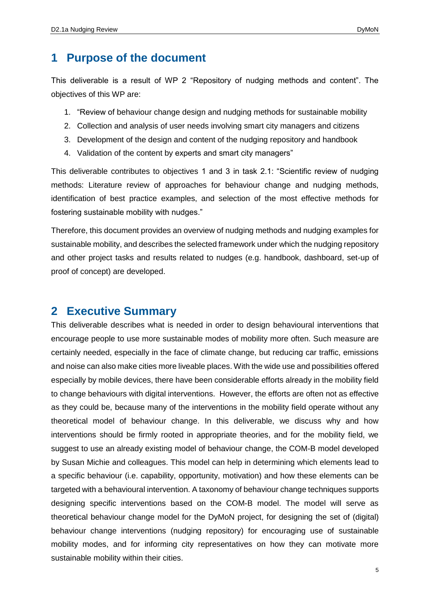## **1 Purpose of the document**

This deliverable is a result of WP 2 "Repository of nudging methods and content". The objectives of this WP are:

- 1. "Review of behaviour change design and nudging methods for sustainable mobility
- 2. Collection and analysis of user needs involving smart city managers and citizens
- 3. Development of the design and content of the nudging repository and handbook
- 4. Validation of the content by experts and smart city managers"

This deliverable contributes to objectives 1 and 3 in task 2.1: "Scientific review of nudging methods: Literature review of approaches for behaviour change and nudging methods, identification of best practice examples, and selection of the most effective methods for fostering sustainable mobility with nudges."

Therefore, this document provides an overview of nudging methods and nudging examples for sustainable mobility, and describes the selected framework under which the nudging repository and other project tasks and results related to nudges (e.g. handbook, dashboard, set-up of proof of concept) are developed.

## **2 Executive Summary**

This deliverable describes what is needed in order to design behavioural interventions that encourage people to use more sustainable modes of mobility more often. Such measure are certainly needed, especially in the face of climate change, but reducing car traffic, emissions and noise can also make cities more liveable places. With the wide use and possibilities offered especially by mobile devices, there have been considerable efforts already in the mobility field to change behaviours with digital interventions. However, the efforts are often not as effective as they could be, because many of the interventions in the mobility field operate without any theoretical model of behaviour change. In this deliverable, we discuss why and how interventions should be firmly rooted in appropriate theories, and for the mobility field, we suggest to use an already existing model of behaviour change, the COM-B model developed by Susan Michie and colleagues. This model can help in determining which elements lead to a specific behaviour (i.e. capability, opportunity, motivation) and how these elements can be targeted with a behavioural intervention. A taxonomy of behaviour change techniques supports designing specific interventions based on the COM-B model. The model will serve as theoretical behaviour change model for the DyMoN project, for designing the set of (digital) behaviour change interventions (nudging repository) for encouraging use of sustainable mobility modes, and for informing city representatives on how they can motivate more sustainable mobility within their cities.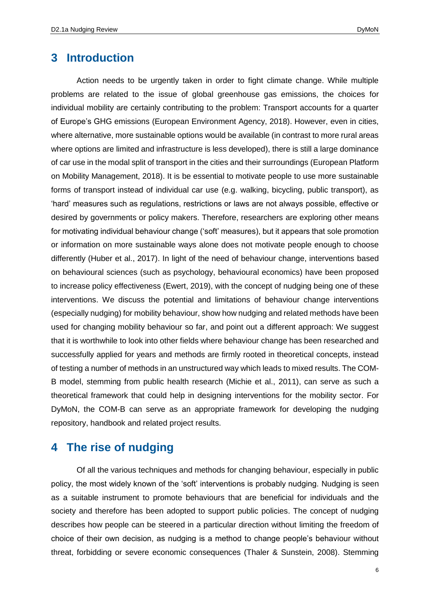## **3 Introduction**

Action needs to be urgently taken in order to fight climate change. While multiple problems are related to the issue of global greenhouse gas emissions, the choices for individual mobility are certainly contributing to the problem: Transport accounts for a quarter of Europe's GHG emissions (European Environment Agency, 2018). However, even in cities, where alternative, more sustainable options would be available (in contrast to more rural areas where options are limited and infrastructure is less developed), there is still a large dominance of car use in the modal split of transport in the cities and their surroundings (European Platform on Mobility Management, 2018). It is be essential to motivate people to use more sustainable forms of transport instead of individual car use (e.g. walking, bicycling, public transport), as 'hard' measures such as regulations, restrictions or laws are not always possible, effective or desired by governments or policy makers. Therefore, researchers are exploring other means for motivating individual behaviour change ('soft' measures), but it appears that sole promotion or information on more sustainable ways alone does not motivate people enough to choose differently (Huber et al., 2017). In light of the need of behaviour change, interventions based on behavioural sciences (such as psychology, behavioural economics) have been proposed to increase policy effectiveness (Ewert, 2019), with the concept of nudging being one of these interventions. We discuss the potential and limitations of behaviour change interventions (especially nudging) for mobility behaviour, show how nudging and related methods have been used for changing mobility behaviour so far, and point out a different approach: We suggest that it is worthwhile to look into other fields where behaviour change has been researched and successfully applied for years and methods are firmly rooted in theoretical concepts, instead of testing a number of methods in an unstructured way which leads to mixed results. The COM-B model, stemming from public health research (Michie et al., 2011), can serve as such a theoretical framework that could help in designing interventions for the mobility sector. For DyMoN, the COM-B can serve as an appropriate framework for developing the nudging repository, handbook and related project results.

### **4 The rise of nudging**

Of all the various techniques and methods for changing behaviour, especially in public policy, the most widely known of the 'soft' interventions is probably nudging. Nudging is seen as a suitable instrument to promote behaviours that are beneficial for individuals and the society and therefore has been adopted to support public policies. The concept of nudging describes how people can be steered in a particular direction without limiting the freedom of choice of their own decision, as nudging is a method to change people's behaviour without threat, forbidding or severe economic consequences (Thaler & Sunstein, 2008). Stemming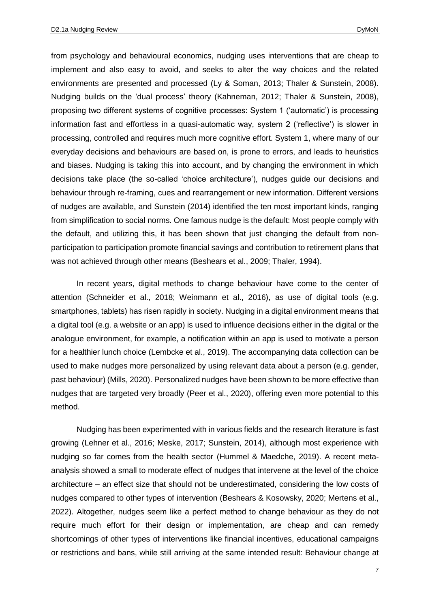from psychology and behavioural economics, nudging uses interventions that are cheap to implement and also easy to avoid, and seeks to alter the way choices and the related environments are presented and processed (Ly & Soman, 2013; Thaler & Sunstein, 2008). Nudging builds on the 'dual process' theory (Kahneman, 2012; Thaler & Sunstein, 2008), proposing two different systems of cognitive processes: System 1 ('automatic') is processing information fast and effortless in a quasi-automatic way, system 2 ('reflective') is slower in processing, controlled and requires much more cognitive effort. System 1, where many of our everyday decisions and behaviours are based on, is prone to errors, and leads to heuristics and biases. Nudging is taking this into account, and by changing the environment in which decisions take place (the so-called 'choice architecture'), nudges guide our decisions and behaviour through re-framing, cues and rearrangement or new information. Different versions of nudges are available, and Sunstein (2014) identified the ten most important kinds, ranging from simplification to social norms. One famous nudge is the default: Most people comply with the default, and utilizing this, it has been shown that just changing the default from nonparticipation to participation promote financial savings and contribution to retirement plans that was not achieved through other means (Beshears et al., 2009; Thaler, 1994).

In recent years, digital methods to change behaviour have come to the center of attention (Schneider et al., 2018; Weinmann et al., 2016), as use of digital tools (e.g. smartphones, tablets) has risen rapidly in society. Nudging in a digital environment means that a digital tool (e.g. a website or an app) is used to influence decisions either in the digital or the analogue environment, for example, a notification within an app is used to motivate a person for a healthier lunch choice (Lembcke et al., 2019). The accompanying data collection can be used to make nudges more personalized by using relevant data about a person (e.g. gender, past behaviour) (Mills, 2020). Personalized nudges have been shown to be more effective than nudges that are targeted very broadly (Peer et al., 2020), offering even more potential to this method.

Nudging has been experimented with in various fields and the research literature is fast growing (Lehner et al., 2016; Meske, 2017; Sunstein, 2014), although most experience with nudging so far comes from the health sector (Hummel & Maedche, 2019). A recent metaanalysis showed a small to moderate effect of nudges that intervene at the level of the choice architecture – an effect size that should not be underestimated, considering the low costs of nudges compared to other types of intervention (Beshears & Kosowsky, 2020; Mertens et al., 2022). Altogether, nudges seem like a perfect method to change behaviour as they do not require much effort for their design or implementation, are cheap and can remedy shortcomings of other types of interventions like financial incentives, educational campaigns or restrictions and bans, while still arriving at the same intended result: Behaviour change at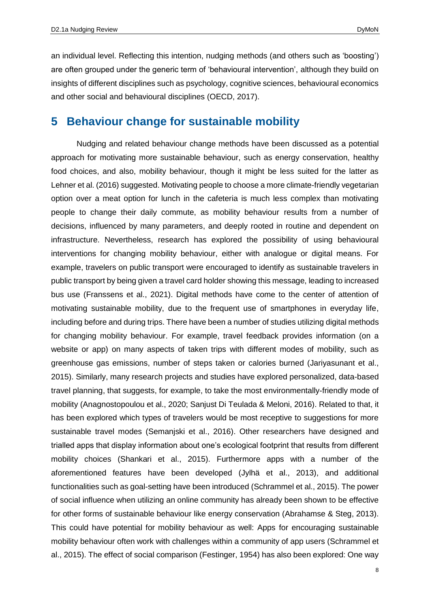an individual level. Reflecting this intention, nudging methods (and others such as 'boosting') are often grouped under the generic term of 'behavioural intervention', although they build on insights of different disciplines such as psychology, cognitive sciences, behavioural economics and other social and behavioural disciplines (OECD, 2017).

#### **5 Behaviour change for sustainable mobility**

Nudging and related behaviour change methods have been discussed as a potential approach for motivating more sustainable behaviour, such as energy conservation, healthy food choices, and also, mobility behaviour, though it might be less suited for the latter as Lehner et al. (2016) suggested. Motivating people to choose a more climate-friendly vegetarian option over a meat option for lunch in the cafeteria is much less complex than motivating people to change their daily commute, as mobility behaviour results from a number of decisions, influenced by many parameters, and deeply rooted in routine and dependent on infrastructure. Nevertheless, research has explored the possibility of using behavioural interventions for changing mobility behaviour, either with analogue or digital means. For example, travelers on public transport were encouraged to identify as sustainable travelers in public transport by being given a travel card holder showing this message, leading to increased bus use (Franssens et al., 2021). Digital methods have come to the center of attention of motivating sustainable mobility, due to the frequent use of smartphones in everyday life, including before and during trips. There have been a number of studies utilizing digital methods for changing mobility behaviour. For example, travel feedback provides information (on a website or app) on many aspects of taken trips with different modes of mobility, such as greenhouse gas emissions, number of steps taken or calories burned (Jariyasunant et al., 2015). Similarly, many research projects and studies have explored personalized, data-based travel planning, that suggests, for example, to take the most environmentally-friendly mode of mobility (Anagnostopoulou et al., 2020; Sanjust Di Teulada & Meloni, 2016). Related to that, it has been explored which types of travelers would be most receptive to suggestions for more sustainable travel modes (Semanjski et al., 2016). Other researchers have designed and trialled apps that display information about one's ecological footprint that results from different mobility choices (Shankari et al., 2015). Furthermore apps with a number of the aforementioned features have been developed (Jylhä et al., 2013), and additional functionalities such as goal-setting have been introduced (Schrammel et al., 2015). The power of social influence when utilizing an online community has already been shown to be effective for other forms of sustainable behaviour like energy conservation (Abrahamse & Steg, 2013). This could have potential for mobility behaviour as well: Apps for encouraging sustainable mobility behaviour often work with challenges within a community of app users (Schrammel et al., 2015). The effect of social comparison (Festinger, 1954) has also been explored: One way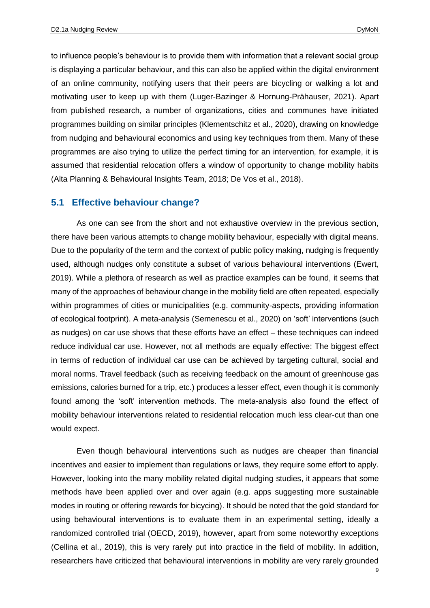to influence people's behaviour is to provide them with information that a relevant social group is displaying a particular behaviour, and this can also be applied within the digital environment of an online community, notifying users that their peers are bicycling or walking a lot and motivating user to keep up with them (Luger-Bazinger & Hornung-Prähauser, 2021). Apart from published research, a number of organizations, cities and communes have initiated programmes building on similar principles (Klementschitz et al., 2020), drawing on knowledge from nudging and behavioural economics and using key techniques from them. Many of these programmes are also trying to utilize the perfect timing for an intervention, for example, it is assumed that residential relocation offers a window of opportunity to change mobility habits (Alta Planning & Behavioural Insights Team, 2018; De Vos et al., 2018).

#### **5.1 Effective behaviour change?**

As one can see from the short and not exhaustive overview in the previous section, there have been various attempts to change mobility behaviour, especially with digital means. Due to the popularity of the term and the context of public policy making, nudging is frequently used, although nudges only constitute a subset of various behavioural interventions (Ewert, 2019). While a plethora of research as well as practice examples can be found, it seems that many of the approaches of behaviour change in the mobility field are often repeated, especially within programmes of cities or municipalities (e.g. community-aspects, providing information of ecological footprint). A meta-analysis (Semenescu et al., 2020) on 'soft' interventions (such as nudges) on car use shows that these efforts have an effect – these techniques can indeed reduce individual car use. However, not all methods are equally effective: The biggest effect in terms of reduction of individual car use can be achieved by targeting cultural, social and moral norms. Travel feedback (such as receiving feedback on the amount of greenhouse gas emissions, calories burned for a trip, etc.) produces a lesser effect, even though it is commonly found among the 'soft' intervention methods. The meta-analysis also found the effect of mobility behaviour interventions related to residential relocation much less clear-cut than one would expect.

Even though behavioural interventions such as nudges are cheaper than financial incentives and easier to implement than regulations or laws, they require some effort to apply. However, looking into the many mobility related digital nudging studies, it appears that some methods have been applied over and over again (e.g. apps suggesting more sustainable modes in routing or offering rewards for bicycing). It should be noted that the gold standard for using behavioural interventions is to evaluate them in an experimental setting, ideally a randomized controlled trial (OECD, 2019), however, apart from some noteworthy exceptions (Cellina et al., 2019), this is very rarely put into practice in the field of mobility. In addition, researchers have criticized that behavioural interventions in mobility are very rarely grounded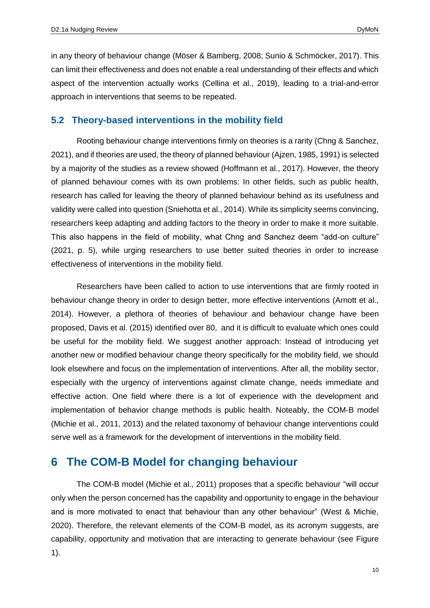in any theory of behaviour change (Möser & Bamberg, 2008; Sunio & Schmöcker, 2017). This can limit their effectiveness and does not enable a real understanding of their effects and which aspect of the intervention actually works (Cellina et al., 2019), leading to a trial-and-error approach in interventions that seems to be repeated.

#### **5.2 Theory-based interventions in the mobility field**

Rooting behaviour change interventions firmly on theories is a rarity (Chng & Sanchez, 2021), and if theories are used, the theory of planned behaviour (Ajzen, 1985, 1991) is selected by a majority of the studies as a review showed (Hoffmann et al., 2017). However, the theory of planned behaviour comes with its own problems: In other fields, such as public health, research has called for leaving the theory of planned behaviour behind as its usefulness and validity were called into question (Sniehotta et al., 2014). While its simplicity seems convincing, researchers keep adapting and adding factors to the theory in order to make it more suitable. This also happens in the field of mobility, what Chng and Sanchez deem "add-on culture" (2021, p. 5), while urging researchers to use better suited theories in order to increase effectiveness of interventions in the mobility field.

Researchers have been called to action to use interventions that are firmly rooted in behaviour change theory in order to design better, more effective interventions (Arnott et al., 2014). However, a plethora of theories of behaviour and behaviour change have been proposed, Davis et al. (2015) identified over 80, and it is difficult to evaluate which ones could be useful for the mobility field. We suggest another approach: Instead of introducing yet another new or modified behaviour change theory specifically for the mobility field, we should look elsewhere and focus on the implementation of interventions. After all, the mobility sector, especially with the urgency of interventions against climate change, needs immediate and effective action. One field where there is a lot of experience with the development and implementation of behavior change methods is public health. Noteably, the COM-B model (Michie et al., 2011, 2013) and the related taxonomy of behaviour change interventions could serve well as a framework for the development of interventions in the mobility field.

## **6 The COM-B Model for changing behaviour**

The COM-B model (Michie et al., 2011) proposes that a specific behaviour "will occur only when the person concerned has the capability and opportunity to engage in the behaviour and is more motivated to enact that behaviour than any other behaviour" (West & Michie, 2020). Therefore, the relevant elements of the COM-B model, as its acronym suggests, are capability, opportunity and motivation that are interacting to generate behaviour (see Figure 1).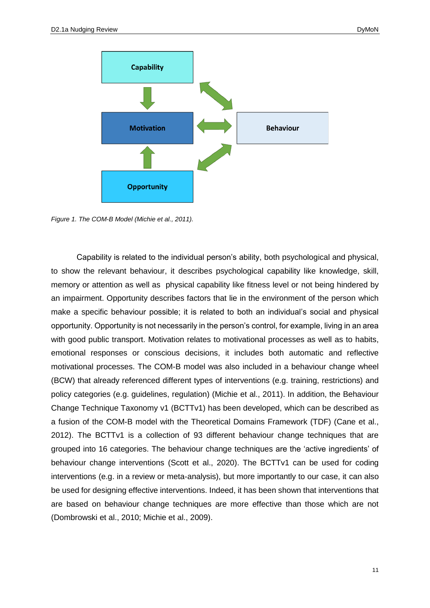

<span id="page-10-0"></span>*Figure 1. The COM-B Model (Michie et al., 2011).*

Capability is related to the individual person's ability, both psychological and physical, to show the relevant behaviour, it describes psychological capability like knowledge, skill, memory or attention as well as physical capability like fitness level or not being hindered by an impairment. Opportunity describes factors that lie in the environment of the person which make a specific behaviour possible; it is related to both an individual's social and physical opportunity. Opportunity is not necessarily in the person's control, for example, living in an area with good public transport. Motivation relates to motivational processes as well as to habits, emotional responses or conscious decisions, it includes both automatic and reflective motivational processes. The COM-B model was also included in a behaviour change wheel (BCW) that already referenced different types of interventions (e.g. training, restrictions) and policy categories (e.g. guidelines, regulation) (Michie et al., 2011). In addition, the Behaviour Change Technique Taxonomy v1 (BCTTv1) has been developed, which can be described as a fusion of the COM-B model with the Theoretical Domains Framework (TDF) (Cane et al., 2012). The BCTTv1 is a collection of 93 different behaviour change techniques that are grouped into 16 categories. The behaviour change techniques are the 'active ingredients' of behaviour change interventions (Scott et al., 2020). The BCTTv1 can be used for coding interventions (e.g. in a review or meta-analysis), but more importantly to our case, it can also be used for designing effective interventions. Indeed, it has been shown that interventions that are based on behaviour change techniques are more effective than those which are not (Dombrowski et al., 2010; Michie et al., 2009).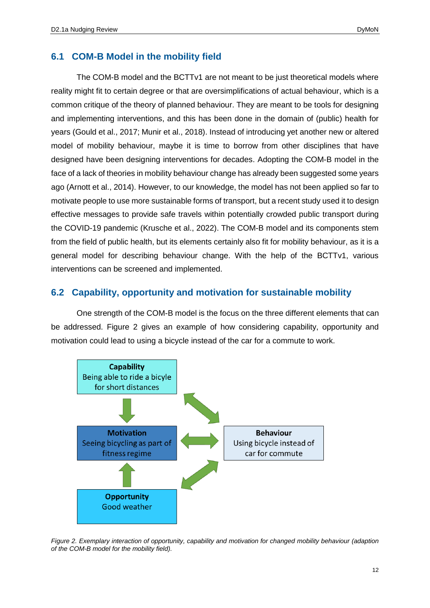#### **6.1 COM-B Model in the mobility field**

The COM-B model and the BCTTv1 are not meant to be just theoretical models where reality might fit to certain degree or that are oversimplifications of actual behaviour, which is a common critique of the theory of planned behaviour. They are meant to be tools for designing and implementing interventions, and this has been done in the domain of (public) health for years (Gould et al., 2017; Munir et al., 2018). Instead of introducing yet another new or altered model of mobility behaviour, maybe it is time to borrow from other disciplines that have designed have been designing interventions for decades. Adopting the COM-B model in the face of a lack of theories in mobility behaviour change has already been suggested some years ago (Arnott et al., 2014). However, to our knowledge, the model has not been applied so far to motivate people to use more sustainable forms of transport, but a recent study used it to design effective messages to provide safe travels within potentially crowded public transport during the COVID-19 pandemic (Krusche et al., 2022). The COM-B model and its components stem from the field of public health, but its elements certainly also fit for mobility behaviour, as it is a general model for describing behaviour change. With the help of the BCTTv1, various interventions can be screened and implemented.

#### **6.2 Capability, opportunity and motivation for sustainable mobility**

One strength of the COM-B model is the focus on the three different elements that can be addressed. Figure 2 gives an example of how considering capability, opportunity and motivation could lead to using a bicycle instead of the car for a commute to work.



<span id="page-11-0"></span>*Figure 2. Exemplary interaction of opportunity, capability and motivation for changed mobility behaviour (adaption of the COM-B model for the mobility field).*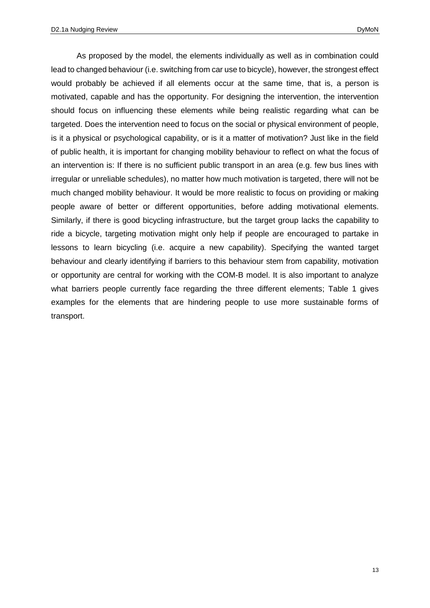As proposed by the model, the elements individually as well as in combination could lead to changed behaviour (i.e. switching from car use to bicycle), however, the strongest effect would probably be achieved if all elements occur at the same time, that is, a person is motivated, capable and has the opportunity. For designing the intervention, the intervention should focus on influencing these elements while being realistic regarding what can be targeted. Does the intervention need to focus on the social or physical environment of people, is it a physical or psychological capability, or is it a matter of motivation? Just like in the field of public health, it is important for changing mobility behaviour to reflect on what the focus of an intervention is: If there is no sufficient public transport in an area (e.g. few bus lines with irregular or unreliable schedules), no matter how much motivation is targeted, there will not be much changed mobility behaviour. It would be more realistic to focus on providing or making people aware of better or different opportunities, before adding motivational elements. Similarly, if there is good bicycling infrastructure, but the target group lacks the capability to ride a bicycle, targeting motivation might only help if people are encouraged to partake in lessons to learn bicycling (i.e. acquire a new capability). Specifying the wanted target behaviour and clearly identifying if barriers to this behaviour stem from capability, motivation or opportunity are central for working with the COM-B model. It is also important to analyze what barriers people currently face regarding the three different elements: Table 1 gives examples for the elements that are hindering people to use more sustainable forms of transport.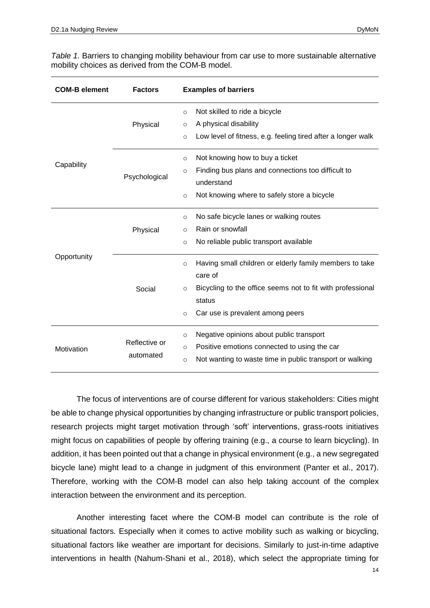| <b>COM-B element</b> | <b>Factors</b>             | <b>Examples of barriers</b>                                                                                                                                                                                     |
|----------------------|----------------------------|-----------------------------------------------------------------------------------------------------------------------------------------------------------------------------------------------------------------|
|                      | Physical                   | Not skilled to ride a bicycle<br>$\circ$<br>A physical disability<br>$\circ$<br>Low level of fitness, e.g. feeling tired after a longer walk<br>$\circ$                                                         |
| Capability           | Psychological              | Not knowing how to buy a ticket<br>$\circ$<br>Finding bus plans and connections too difficult to<br>$\circ$<br>understand<br>Not knowing where to safely store a bicycle<br>$\circ$                             |
|                      | Physical                   | No safe bicycle lanes or walking routes<br>$\circ$<br>Rain or snowfall<br>$\circ$<br>No reliable public transport available<br>$\circ$                                                                          |
| Opportunity          | Social                     | Having small children or elderly family members to take<br>$\circ$<br>care of<br>Bicycling to the office seems not to fit with professional<br>$\circ$<br>status<br>Car use is prevalent among peers<br>$\circ$ |
| Motivation           | Reflective or<br>automated | Negative opinions about public transport<br>$\circ$<br>Positive emotions connected to using the car<br>$\circ$<br>Not wanting to waste time in public transport or walking<br>$\circ$                           |

<span id="page-13-0"></span>*Table 1.* Barriers to changing mobility behaviour from car use to more sustainable alternative mobility choices as derived from the COM-B model.

The focus of interventions are of course different for various stakeholders: Cities might be able to change physical opportunities by changing infrastructure or public transport policies, research projects might target motivation through 'soft' interventions, grass-roots initiatives might focus on capabilities of people by offering training (e.g., a course to learn bicycling). In addition, it has been pointed out that a change in physical environment (e.g., a new segregated bicycle lane) might lead to a change in judgment of this environment (Panter et al., 2017). Therefore, working with the COM-B model can also help taking account of the complex interaction between the environment and its perception.

Another interesting facet where the COM-B model can contribute is the role of situational factors. Especially when it comes to active mobility such as walking or bicycling, situational factors like weather are important for decisions. Similarly to just-in-time adaptive interventions in health (Nahum-Shani et al., 2018), which select the appropriate timing for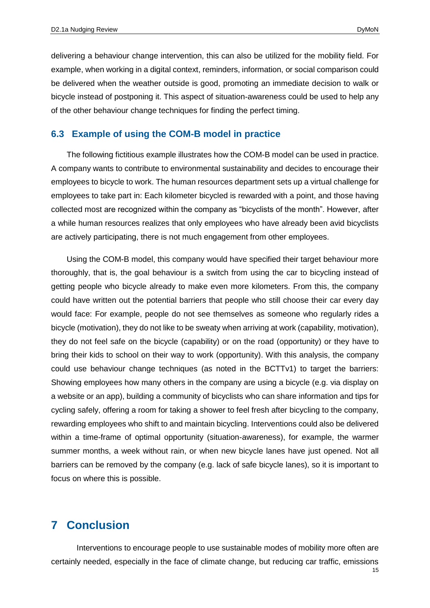delivering a behaviour change intervention, this can also be utilized for the mobility field. For example, when working in a digital context, reminders, information, or social comparison could be delivered when the weather outside is good, promoting an immediate decision to walk or bicycle instead of postponing it. This aspect of situation-awareness could be used to help any of the other behaviour change techniques for finding the perfect timing.

#### **6.3 Example of using the COM-B model in practice**

The following fictitious example illustrates how the COM-B model can be used in practice. A company wants to contribute to environmental sustainability and decides to encourage their employees to bicycle to work. The human resources department sets up a virtual challenge for employees to take part in: Each kilometer bicycled is rewarded with a point, and those having collected most are recognized within the company as "bicyclists of the month". However, after a while human resources realizes that only employees who have already been avid bicyclists are actively participating, there is not much engagement from other employees.

Using the COM-B model, this company would have specified their target behaviour more thoroughly, that is, the goal behaviour is a switch from using the car to bicycling instead of getting people who bicycle already to make even more kilometers. From this, the company could have written out the potential barriers that people who still choose their car every day would face: For example, people do not see themselves as someone who regularly rides a bicycle (motivation), they do not like to be sweaty when arriving at work (capability, motivation), they do not feel safe on the bicycle (capability) or on the road (opportunity) or they have to bring their kids to school on their way to work (opportunity). With this analysis, the company could use behaviour change techniques (as noted in the BCTTv1) to target the barriers: Showing employees how many others in the company are using a bicycle (e.g. via display on a website or an app), building a community of bicyclists who can share information and tips for cycling safely, offering a room for taking a shower to feel fresh after bicycling to the company, rewarding employees who shift to and maintain bicycling. Interventions could also be delivered within a time-frame of optimal opportunity (situation-awareness), for example, the warmer summer months, a week without rain, or when new bicycle lanes have just opened. Not all barriers can be removed by the company (e.g. lack of safe bicycle lanes), so it is important to focus on where this is possible.

#### **7 Conclusion**

Interventions to encourage people to use sustainable modes of mobility more often are certainly needed, especially in the face of climate change, but reducing car traffic, emissions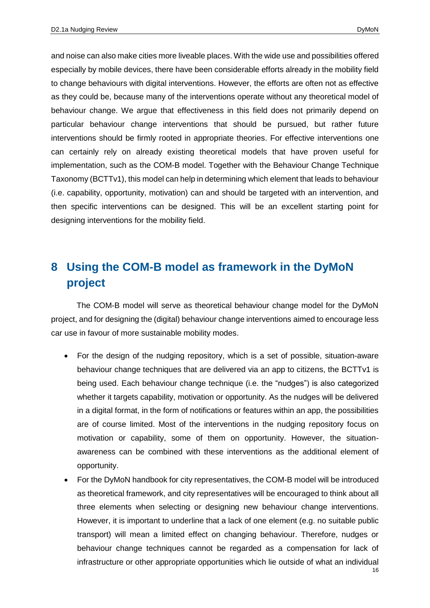and noise can also make cities more liveable places. With the wide use and possibilities offered especially by mobile devices, there have been considerable efforts already in the mobility field to change behaviours with digital interventions. However, the efforts are often not as effective as they could be, because many of the interventions operate without any theoretical model of behaviour change. We argue that effectiveness in this field does not primarily depend on particular behaviour change interventions that should be pursued, but rather future interventions should be firmly rooted in appropriate theories. For effective interventions one can certainly rely on already existing theoretical models that have proven useful for implementation, such as the COM-B model. Together with the Behaviour Change Technique Taxonomy (BCTTv1), this model can help in determining which element that leads to behaviour (i.e. capability, opportunity, motivation) can and should be targeted with an intervention, and then specific interventions can be designed. This will be an excellent starting point for designing interventions for the mobility field.

## **8 Using the COM-B model as framework in the DyMoN project**

The COM-B model will serve as theoretical behaviour change model for the DyMoN project, and for designing the (digital) behaviour change interventions aimed to encourage less car use in favour of more sustainable mobility modes.

- For the design of the nudging repository, which is a set of possible, situation-aware behaviour change techniques that are delivered via an app to citizens, the BCTTv1 is being used. Each behaviour change technique (i.e. the "nudges") is also categorized whether it targets capability, motivation or opportunity. As the nudges will be delivered in a digital format, in the form of notifications or features within an app, the possibilities are of course limited. Most of the interventions in the nudging repository focus on motivation or capability, some of them on opportunity. However, the situationawareness can be combined with these interventions as the additional element of opportunity.
- 16 For the DyMoN handbook for city representatives, the COM-B model will be introduced as theoretical framework, and city representatives will be encouraged to think about all three elements when selecting or designing new behaviour change interventions. However, it is important to underline that a lack of one element (e.g. no suitable public transport) will mean a limited effect on changing behaviour. Therefore, nudges or behaviour change techniques cannot be regarded as a compensation for lack of infrastructure or other appropriate opportunities which lie outside of what an individual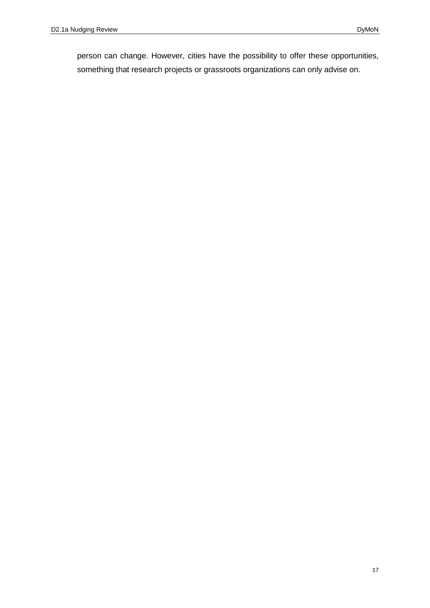person can change. However, cities have the possibility to offer these opportunities, something that research projects or grassroots organizations can only advise on.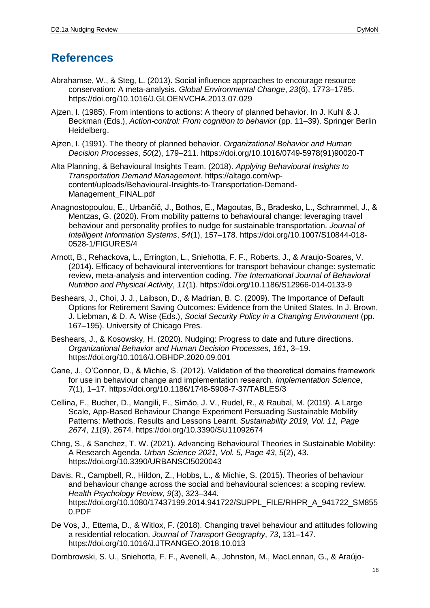## **References**

- Abrahamse, W., & Steg, L. (2013). Social influence approaches to encourage resource conservation: A meta-analysis. *Global Environmental Change*, *23*(6), 1773–1785. https://doi.org/10.1016/J.GLOENVCHA.2013.07.029
- Ajzen, I. (1985). From intentions to actions: A theory of planned behavior. In J. Kuhl & J. Beckman (Eds.), *Action-control: From cognition to behavior* (pp. 11–39). Springer Berlin Heidelberg.
- Ajzen, I. (1991). The theory of planned behavior. *Organizational Behavior and Human Decision Processes*, *50*(2), 179–211. https://doi.org/10.1016/0749-5978(91)90020-T
- Alta Planning, & Behavioural Insights Team. (2018). *Applying Behavioural Insights to Transportation Demand Management*. https://altago.com/wpcontent/uploads/Behavioural-Insights-to-Transportation-Demand-Management\_FINAL.pdf
- Anagnostopoulou, E., Urbančič, J., Bothos, E., Magoutas, B., Bradesko, L., Schrammel, J., & Mentzas, G. (2020). From mobility patterns to behavioural change: leveraging travel behaviour and personality profiles to nudge for sustainable transportation. *Journal of Intelligent Information Systems*, *54*(1), 157–178. https://doi.org/10.1007/S10844-018- 0528-1/FIGURES/4
- Arnott, B., Rehackova, L., Errington, L., Sniehotta, F. F., Roberts, J., & Araujo-Soares, V. (2014). Efficacy of behavioural interventions for transport behaviour change: systematic review, meta-analysis and intervention coding. *The International Journal of Behavioral Nutrition and Physical Activity*, *11*(1). https://doi.org/10.1186/S12966-014-0133-9
- Beshears, J., Choi, J. J., Laibson, D., & Madrian, B. C. (2009). The Importance of Default Options for Retirement Saving Outcomes: Evidence from the United States. In J. Brown, J. Liebman, & D. A. Wise (Eds.), *Social Security Policy in a Changing Environment* (pp. 167–195). University of Chicago Pres.
- Beshears, J., & Kosowsky, H. (2020). Nudging: Progress to date and future directions. *Organizational Behavior and Human Decision Processes*, *161*, 3–19. https://doi.org/10.1016/J.OBHDP.2020.09.001
- Cane, J., O'Connor, D., & Michie, S. (2012). Validation of the theoretical domains framework for use in behaviour change and implementation research. *Implementation Science*, *7*(1), 1–17. https://doi.org/10.1186/1748-5908-7-37/TABLES/3
- Cellina, F., Bucher, D., Mangili, F., Simão, J. V., Rudel, R., & Raubal, M. (2019). A Large Scale, App-Based Behaviour Change Experiment Persuading Sustainable Mobility Patterns: Methods, Results and Lessons Learnt. *Sustainability 2019, Vol. 11, Page 2674*, *11*(9), 2674. https://doi.org/10.3390/SU11092674
- Chng, S., & Sanchez, T. W. (2021). Advancing Behavioural Theories in Sustainable Mobility: A Research Agenda. *Urban Science 2021, Vol. 5, Page 43*, *5*(2), 43. https://doi.org/10.3390/URBANSCI5020043
- Davis, R., Campbell, R., Hildon, Z., Hobbs, L., & Michie, S. (2015). Theories of behaviour and behaviour change across the social and behavioural sciences: a scoping review. *Health Psychology Review*, *9*(3), 323–344. https://doi.org/10.1080/17437199.2014.941722/SUPPL\_FILE/RHPR\_A\_941722\_SM855 0.PDF
- De Vos, J., Ettema, D., & Witlox, F. (2018). Changing travel behaviour and attitudes following a residential relocation. *Journal of Transport Geography*, *73*, 131–147. https://doi.org/10.1016/J.JTRANGEO.2018.10.013

Dombrowski, S. U., Sniehotta, F. F., Avenell, A., Johnston, M., MacLennan, G., & Araújo-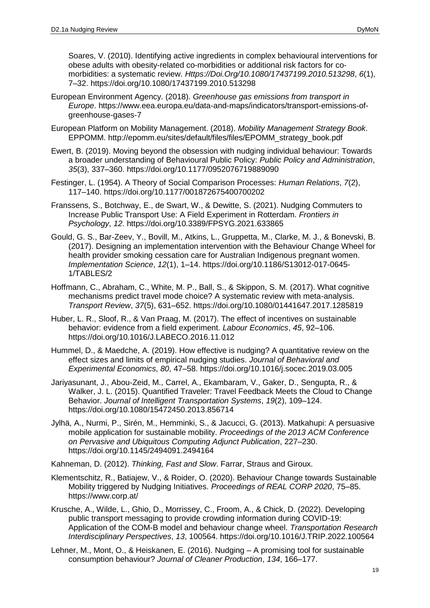Soares, V. (2010). Identifying active ingredients in complex behavioural interventions for obese adults with obesity-related co-morbidities or additional risk factors for comorbidities: a systematic review. *Https://Doi.Org/10.1080/17437199.2010.513298*, *6*(1), 7–32. https://doi.org/10.1080/17437199.2010.513298

- European Environment Agency. (2018). *Greenhouse gas emissions from transport in Europe*. https://www.eea.europa.eu/data-and-maps/indicators/transport-emissions-ofgreenhouse-gases-7
- European Platform on Mobility Management. (2018). *Mobility Management Strategy Book*. EPPOMM. http://epomm.eu/sites/default/files/files/EPOMM\_strategy\_book.pdf
- Ewert, B. (2019). Moving beyond the obsession with nudging individual behaviour: Towards a broader understanding of Behavioural Public Policy: *Public Policy and Administration*, *35*(3), 337–360. https://doi.org/10.1177/0952076719889090
- Festinger, L. (1954). A Theory of Social Comparison Processes: *Human Relations*, *7*(2), 117–140. https://doi.org/10.1177/001872675400700202
- Franssens, S., Botchway, E., de Swart, W., & Dewitte, S. (2021). Nudging Commuters to Increase Public Transport Use: A Field Experiment in Rotterdam. *Frontiers in Psychology*, *12*. https://doi.org/10.3389/FPSYG.2021.633865
- Gould, G. S., Bar-Zeev, Y., Bovill, M., Atkins, L., Gruppetta, M., Clarke, M. J., & Bonevski, B. (2017). Designing an implementation intervention with the Behaviour Change Wheel for health provider smoking cessation care for Australian Indigenous pregnant women. *Implementation Science*, *12*(1), 1–14. https://doi.org/10.1186/S13012-017-0645- 1/TABLES/2
- Hoffmann, C., Abraham, C., White, M. P., Ball, S., & Skippon, S. M. (2017). What cognitive mechanisms predict travel mode choice? A systematic review with meta-analysis. *Transport Review*, *37*(5), 631–652. https://doi.org/10.1080/01441647.2017.1285819
- Huber, L. R., Sloof, R., & Van Praag, M. (2017). The effect of incentives on sustainable behavior: evidence from a field experiment. *Labour Economics*, *45*, 92–106. https://doi.org/10.1016/J.LABECO.2016.11.012
- Hummel, D., & Maedche, A. (2019). How effective is nudging? A quantitative review on the effect sizes and limits of empirical nudging studies. *Journal of Behavioral and Experimental Economics*, *80*, 47–58. https://doi.org/10.1016/j.socec.2019.03.005
- Jariyasunant, J., Abou-Zeid, M., Carrel, A., Ekambaram, V., Gaker, D., Sengupta, R., & Walker, J. L. (2015). Quantified Traveler: Travel Feedback Meets the Cloud to Change Behavior. *Journal of Intelligent Transportation Systems*, *19*(2), 109–124. https://doi.org/10.1080/15472450.2013.856714
- Jylhä, A., Nurmi, P., Sirén, M., Hemminki, S., & Jacucci, G. (2013). Matkahupi: A persuasive mobile application for sustainable mobility. *Proceedings of the 2013 ACM Conference on Pervasive and Ubiquitous Computing Adjunct Publication*, 227–230. https://doi.org/10.1145/2494091.2494164
- Kahneman, D. (2012). *Thinking, Fast and Slow*. Farrar, Straus and Giroux.
- Klementschitz, R., Batiajew, V., & Roider, O. (2020). Behaviour Change towards Sustainable Mobility triggered by Nudging Initiatives. *Proceedings of REAL CORP 2020*, 75–85. https://www.corp.at/
- Krusche, A., Wilde, L., Ghio, D., Morrissey, C., Froom, A., & Chick, D. (2022). Developing public transport messaging to provide crowding information during COVID-19: Application of the COM-B model and behaviour change wheel. *Transportation Research Interdisciplinary Perspectives*, *13*, 100564. https://doi.org/10.1016/J.TRIP.2022.100564
- Lehner, M., Mont, O., & Heiskanen, E. (2016). Nudging A promising tool for sustainable consumption behaviour? *Journal of Cleaner Production*, *134*, 166–177.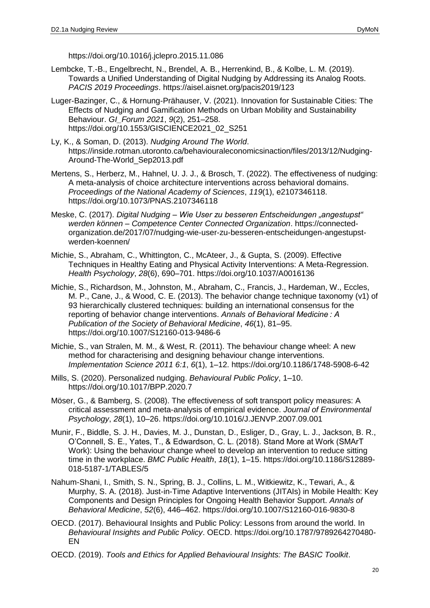https://doi.org/10.1016/j.jclepro.2015.11.086

- Lembcke, T.-B., Engelbrecht, N., Brendel, A. B., Herrenkind, B., & Kolbe, L. M. (2019). Towards a Unified Understanding of Digital Nudging by Addressing its Analog Roots. *PACIS 2019 Proceedings*. https://aisel.aisnet.org/pacis2019/123
- Luger-Bazinger, C., & Hornung-Prähauser, V. (2021). Innovation for Sustainable Cities: The Effects of Nudging and Gamification Methods on Urban Mobility and Sustainability Behaviour. *GI\_Forum 2021*, *9*(2), 251–258. https://doi.org/10.1553/GISCIENCE2021\_02\_S251
- Ly, K., & Soman, D. (2013). *Nudging Around The World*. https://inside.rotman.utoronto.ca/behaviouraleconomicsinaction/files/2013/12/Nudging-Around-The-World\_Sep2013.pdf
- Mertens, S., Herberz, M., Hahnel, U. J. J., & Brosch, T. (2022). The effectiveness of nudging: A meta-analysis of choice architecture interventions across behavioral domains. *Proceedings of the National Academy of Sciences*, *119*(1), e2107346118. https://doi.org/10.1073/PNAS.2107346118
- Meske, C. (2017). *Digital Nudging – Wie User zu besseren Entscheidungen "angestupst" werden können – Competence Center Connected Organization*. https://connectedorganization.de/2017/07/nudging-wie-user-zu-besseren-entscheidungen-angestupstwerden-koennen/
- Michie, S., Abraham, C., Whittington, C., McAteer, J., & Gupta, S. (2009). Effective Techniques in Healthy Eating and Physical Activity Interventions: A Meta-Regression. *Health Psychology*, *28*(6), 690–701. https://doi.org/10.1037/A0016136
- Michie, S., Richardson, M., Johnston, M., Abraham, C., Francis, J., Hardeman, W., Eccles, M. P., Cane, J., & Wood, C. E. (2013). The behavior change technique taxonomy (v1) of 93 hierarchically clustered techniques: building an international consensus for the reporting of behavior change interventions. *Annals of Behavioral Medicine : A Publication of the Society of Behavioral Medicine*, *46*(1), 81–95. https://doi.org/10.1007/S12160-013-9486-6
- Michie, S., van Stralen, M. M., & West, R. (2011). The behaviour change wheel: A new method for characterising and designing behaviour change interventions. *Implementation Science 2011 6:1*, *6*(1), 1–12. https://doi.org/10.1186/1748-5908-6-42
- Mills, S. (2020). Personalized nudging. *Behavioural Public Policy*, 1–10. https://doi.org/10.1017/BPP.2020.7
- Möser, G., & Bamberg, S. (2008). The effectiveness of soft transport policy measures: A critical assessment and meta-analysis of empirical evidence. *Journal of Environmental Psychology*, *28*(1), 10–26. https://doi.org/10.1016/J.JENVP.2007.09.001
- Munir, F., Biddle, S. J. H., Davies, M. J., Dunstan, D., Esliger, D., Gray, L. J., Jackson, B. R., O'Connell, S. E., Yates, T., & Edwardson, C. L. (2018). Stand More at Work (SMArT Work): Using the behaviour change wheel to develop an intervention to reduce sitting time in the workplace. *BMC Public Health*, *18*(1), 1–15. https://doi.org/10.1186/S12889- 018-5187-1/TABLES/5
- Nahum-Shani, I., Smith, S. N., Spring, B. J., Collins, L. M., Witkiewitz, K., Tewari, A., & Murphy, S. A. (2018). Just-in-Time Adaptive Interventions (JITAIs) in Mobile Health: Key Components and Design Principles for Ongoing Health Behavior Support. *Annals of Behavioral Medicine*, *52*(6), 446–462. https://doi.org/10.1007/S12160-016-9830-8
- OECD. (2017). Behavioural Insights and Public Policy: Lessons from around the world. In *Behavioural Insights and Public Policy*. OECD. https://doi.org/10.1787/9789264270480- EN
- OECD. (2019). *Tools and Ethics for Applied Behavioural Insights: The BASIC Toolkit*.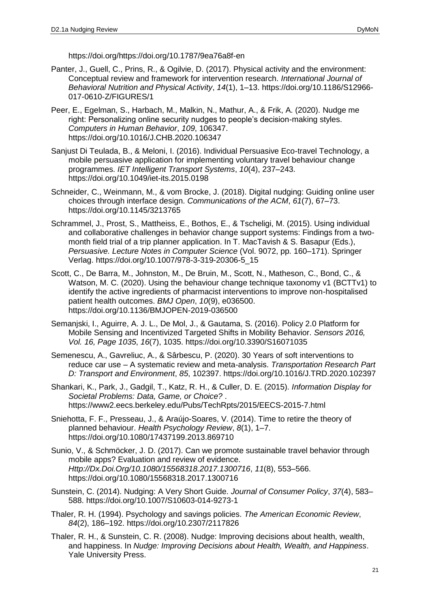https://doi.org/https://doi.org/10.1787/9ea76a8f-en

- Panter, J., Guell, C., Prins, R., & Ogilvie, D. (2017). Physical activity and the environment: Conceptual review and framework for intervention research. *International Journal of Behavioral Nutrition and Physical Activity*, *14*(1), 1–13. https://doi.org/10.1186/S12966- 017-0610-Z/FIGURES/1
- Peer, E., Egelman, S., Harbach, M., Malkin, N., Mathur, A., & Frik, A. (2020). Nudge me right: Personalizing online security nudges to people's decision-making styles. *Computers in Human Behavior*, *109*, 106347. https://doi.org/10.1016/J.CHB.2020.106347
- Sanjust Di Teulada, B., & Meloni, I. (2016). Individual Persuasive Eco-travel Technology, a mobile persuasive application for implementing voluntary travel behaviour change programmes. *IET Intelligent Transport Systems*, *10*(4), 237–243. https://doi.org/10.1049/iet-its.2015.0198
- Schneider, C., Weinmann, M., & vom Brocke, J. (2018). Digital nudging: Guiding online user choices through interface design. *Communications of the ACM*, *61*(7), 67–73. https://doi.org/10.1145/3213765
- Schrammel, J., Prost, S., Mattheiss, E., Bothos, E., & Tscheligi, M. (2015). Using individual and collaborative challenges in behavior change support systems: Findings from a twomonth field trial of a trip planner application. In T. MacTavish & S. Basapur (Eds.), *Persuasive. Lecture Notes in Computer Science* (Vol. 9072, pp. 160–171). Springer Verlag. https://doi.org/10.1007/978-3-319-20306-5\_15
- Scott, C., De Barra, M., Johnston, M., De Bruin, M., Scott, N., Matheson, C., Bond, C., & Watson, M. C. (2020). Using the behaviour change technique taxonomy v1 (BCTTv1) to identify the active ingredients of pharmacist interventions to improve non-hospitalised patient health outcomes. *BMJ Open*, *10*(9), e036500. https://doi.org/10.1136/BMJOPEN-2019-036500
- Semanjski, I., Aguirre, A. J. L., De Mol, J., & Gautama, S. (2016). Policy 2.0 Platform for Mobile Sensing and Incentivized Targeted Shifts in Mobility Behavior. *Sensors 2016, Vol. 16, Page 1035*, *16*(7), 1035. https://doi.org/10.3390/S16071035
- Semenescu, A., Gavreliuc, A., & Sârbescu, P. (2020). 30 Years of soft interventions to reduce car use – A systematic review and meta-analysis. *Transportation Research Part D: Transport and Environment*, *85*, 102397. https://doi.org/10.1016/J.TRD.2020.102397
- Shankari, K., Park, J., Gadgil, T., Katz, R. H., & Culler, D. E. (2015). *Information Display for Societal Problems: Data, Game, or Choice?* . https://www2.eecs.berkeley.edu/Pubs/TechRpts/2015/EECS-2015-7.html
- Sniehotta, F. F., Presseau, J., & Araújo-Soares, V. (2014). Time to retire the theory of planned behaviour. *Health Psychology Review*, *8*(1), 1–7. https://doi.org/10.1080/17437199.2013.869710
- Sunio, V., & Schmöcker, J. D. (2017). Can we promote sustainable travel behavior through mobile apps? Evaluation and review of evidence. *Http://Dx.Doi.Org/10.1080/15568318.2017.1300716*, *11*(8), 553–566. https://doi.org/10.1080/15568318.2017.1300716
- Sunstein, C. (2014). Nudging: A Very Short Guide. *Journal of Consumer Policy*, *37*(4), 583– 588. https://doi.org/10.1007/S10603-014-9273-1
- Thaler, R. H. (1994). Psychology and savings policies. *The American Economic Review*, *84*(2), 186–192. https://doi.org/10.2307/2117826
- Thaler, R. H., & Sunstein, C. R. (2008). Nudge: Improving decisions about health, wealth, and happiness. In *Nudge: Improving Decisions about Health, Wealth, and Happiness*. Yale University Press.